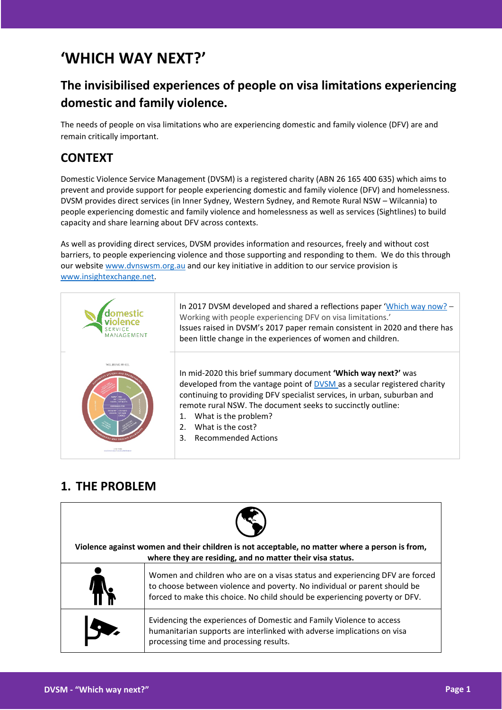# **'WHICH WAY NEXT?'**

# **The invisibilised experiences of people on visa limitations experiencing domestic and family violence.**

The needs of people on visa limitations who are experiencing domestic and family violence (DFV) are and remain critically important.

#### **CONTEXT**

Domestic Violence Service Management (DVSM) is a registered charity (ABN 26 165 400 635) which aims to prevent and provide support for people experiencing domestic and family violence (DFV) and homelessness. DVSM provides direct services (in Inner Sydney, Western Sydney, and Remote Rural NSW – Wilcannia) to people experiencing domestic and family violence and homelessness as well as services (Sightlines) to build capacity and share learning about DFV across contexts.

As well as providing direct services, DVSM provides information and resources, freely and without cost barriers, to people experiencing violence and those supporting and responding to them. We do this through our website [www.dvnswsm.org.au](http://www.dvnswsm.org.au/) and our key initiative in addition to our service provision is [www.insightexchange.net.](http://www.insightexchange.net/)

| 1 A N A G E M E N T              | In 2017 DVSM developed and shared a reflections paper 'Which way now? -<br>Working with people experiencing DFV on visa limitations.'<br>Issues raised in DVSM's 2017 paper remain consistent in 2020 and there has<br>been little change in the experiences of women and children.                                                                                                   |
|----------------------------------|---------------------------------------------------------------------------------------------------------------------------------------------------------------------------------------------------------------------------------------------------------------------------------------------------------------------------------------------------------------------------------------|
| WELLBEING WHEEL<br>HOICES MY OWN | In mid-2020 this brief summary document 'Which way next?' was<br>developed from the vantage point of DVSM as a secular registered charity<br>continuing to providing DFV specialist services, in urban, suburban and<br>remote rural NSW. The document seeks to succinctly outline:<br>What is the problem?<br>What is the cost?<br>$\mathcal{P}$<br><b>Recommended Actions</b><br>3. |

### **1. THE PROBLEM**

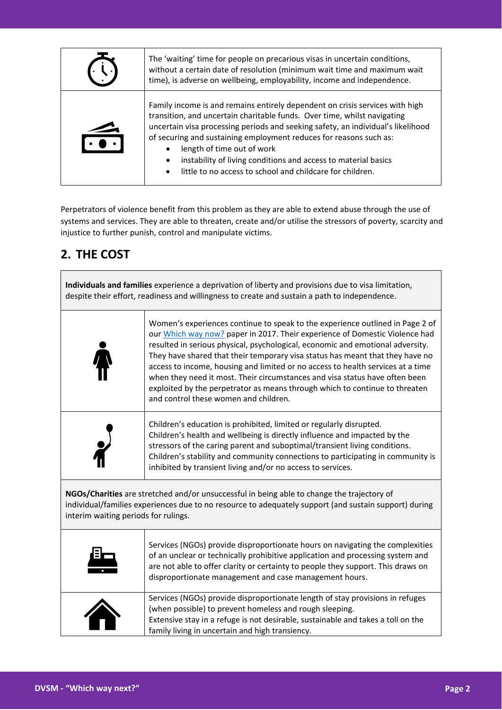| The 'waiting' time for people on precarious visas in uncertain conditions,<br>without a certain date of resolution (minimum wait time and maximum wait<br>time), is adverse on wellbeing, employability, income and independence.                                                                                                                                                                                                                                                            |  |  |
|----------------------------------------------------------------------------------------------------------------------------------------------------------------------------------------------------------------------------------------------------------------------------------------------------------------------------------------------------------------------------------------------------------------------------------------------------------------------------------------------|--|--|
| Family income is and remains entirely dependent on crisis services with high<br>transition, and uncertain charitable funds. Over time, whilst navigating<br>uncertain visa processing periods and seeking safety, an individual's likelihood<br>of securing and sustaining employment reduces for reasons such as:<br>length of time out of work<br>instability of living conditions and access to material basics<br>$\bullet$<br>little to no access to school and childcare for children. |  |  |

Perpetrators of violence benefit from this problem as they are able to extend abuse through the use of systems and services. They are able to threaten, create and/or utilise the stressors of poverty, scarcity and injustice to further punish, control and manipulate victims.

# **2. THE COST**

**Individuals and families** experience a deprivation of liberty and provisions due to visa limitation, despite their effort, readiness and willingness to create and sustain a path to independence.

| Women's experiences continue to speak to the experience outlined in Page 2 of<br>our Which way now? paper in 2017. Their experience of Domestic Violence had<br>resulted in serious physical, psychological, economic and emotional adversity.<br>They have shared that their temporary visa status has meant that they have no<br>access to income, housing and limited or no access to health services at a time<br>when they need it most. Their circumstances and visa status have often been<br>exploited by the perpetrator as means through which to continue to threaten<br>and control these women and children. |
|---------------------------------------------------------------------------------------------------------------------------------------------------------------------------------------------------------------------------------------------------------------------------------------------------------------------------------------------------------------------------------------------------------------------------------------------------------------------------------------------------------------------------------------------------------------------------------------------------------------------------|
| Children's education is prohibited, limited or regularly disrupted.<br>Children's health and wellbeing is directly influence and impacted by the<br>stressors of the caring parent and suboptimal/transient living conditions.<br>Children's stability and community connections to participating in community is<br>inhibited by transient living and/or no access to services.                                                                                                                                                                                                                                          |

**NGOs/Charities** are stretched and/or unsuccessful in being able to change the trajectory of individual/families experiences due to no resource to adequately support (and sustain support) during interim waiting periods for rulings.

| Ξ | Services (NGOs) provide disproportionate hours on navigating the complexities<br>of an unclear or technically prohibitive application and processing system and<br>are not able to offer clarity or certainty to people they support. This draws on<br>disproportionate management and case management hours. |
|---|---------------------------------------------------------------------------------------------------------------------------------------------------------------------------------------------------------------------------------------------------------------------------------------------------------------|
|   | Services (NGOs) provide disproportionate length of stay provisions in refuges<br>(when possible) to prevent homeless and rough sleeping.<br>Extensive stay in a refuge is not desirable, sustainable and takes a toll on the<br>family living in uncertain and high transiency.                               |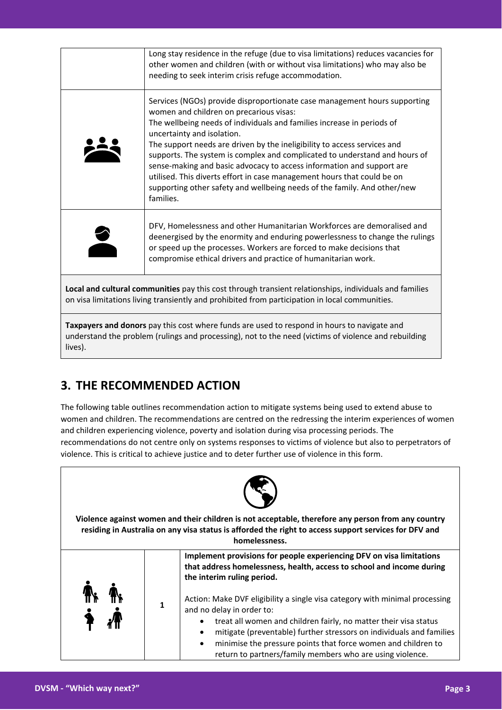|                                                                                                                                                                                                                | Long stay residence in the refuge (due to visa limitations) reduces vacancies for<br>other women and children (with or without visa limitations) who may also be<br>needing to seek interim crisis refuge accommodation.                                                                                                                                                                                                                                                                                                                                                                                                            |  |
|----------------------------------------------------------------------------------------------------------------------------------------------------------------------------------------------------------------|-------------------------------------------------------------------------------------------------------------------------------------------------------------------------------------------------------------------------------------------------------------------------------------------------------------------------------------------------------------------------------------------------------------------------------------------------------------------------------------------------------------------------------------------------------------------------------------------------------------------------------------|--|
|                                                                                                                                                                                                                | Services (NGOs) provide disproportionate case management hours supporting<br>women and children on precarious visas:<br>The wellbeing needs of individuals and families increase in periods of<br>uncertainty and isolation.<br>The support needs are driven by the ineligibility to access services and<br>supports. The system is complex and complicated to understand and hours of<br>sense-making and basic advocacy to access information and support are<br>utilised. This diverts effort in case management hours that could be on<br>supporting other safety and wellbeing needs of the family. And other/new<br>families. |  |
|                                                                                                                                                                                                                | DFV, Homelessness and other Humanitarian Workforces are demoralised and<br>deenergised by the enormity and enduring powerlessness to change the rulings<br>or speed up the processes. Workers are forced to make decisions that<br>compromise ethical drivers and practice of humanitarian work.                                                                                                                                                                                                                                                                                                                                    |  |
| Local and cultural communities pay this cost through transient relationships, individuals and families<br>on visa limitations living transiently and prohibited from participation in local communities.       |                                                                                                                                                                                                                                                                                                                                                                                                                                                                                                                                                                                                                                     |  |
| Taxpayers and donors pay this cost where funds are used to respond in hours to navigate and<br>understand the problem (rulings and processing), not to the need (victims of violence and rebuilding<br>lives). |                                                                                                                                                                                                                                                                                                                                                                                                                                                                                                                                                                                                                                     |  |

# **3. THE RECOMMENDED ACTION**

The following table outlines recommendation action to mitigate systems being used to extend abuse to women and children. The recommendations are centred on the redressing the interim experiences of women and children experiencing violence, poverty and isolation during visa processing periods. The recommendations do not centre only on systems responses to victims of violence but also to perpetrators of violence. This is critical to achieve justice and to deter further use of violence in this form.



**Violence against women and their children is not acceptable, therefore any person from any country residing in Australia on any visa status is afforded the right to access support services for DFV and homelessness.**

|  | Implement provisions for people experiencing DFV on visa limitations<br>that address homelessness, health, access to school and income during<br>the interim ruling period.                                                                                                                                                                                                                                               |
|--|---------------------------------------------------------------------------------------------------------------------------------------------------------------------------------------------------------------------------------------------------------------------------------------------------------------------------------------------------------------------------------------------------------------------------|
|  | Action: Make DVF eligibility a single visa category with minimal processing<br>and no delay in order to:<br>treat all women and children fairly, no matter their visa status<br>$\bullet$<br>mitigate (preventable) further stressors on individuals and families<br>$\bullet$<br>minimise the pressure points that force women and children to<br>$\bullet$<br>return to partners/family members who are using violence. |